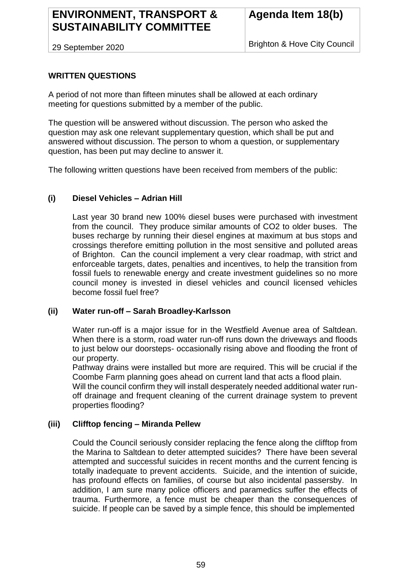# **ENVIRONMENT, TRANSPORT & SUSTAINABILITY COMMITTEE**

29 September 2020

Brighton & Hove City Council

## **WRITTEN QUESTIONS**

A period of not more than fifteen minutes shall be allowed at each ordinary meeting for questions submitted by a member of the public.

The question will be answered without discussion. The person who asked the question may ask one relevant supplementary question, which shall be put and answered without discussion. The person to whom a question, or supplementary question, has been put may decline to answer it.

The following written questions have been received from members of the public:

#### **(i) Diesel Vehicles – Adrian Hill**

Last year 30 brand new 100% diesel buses were purchased with investment from the council. They produce similar amounts of CO2 to older buses. The buses recharge by running their diesel engines at maximum at bus stops and crossings therefore emitting pollution in the most sensitive and polluted areas of Brighton. Can the council implement a very clear roadmap, with strict and enforceable targets, dates, penalties and incentives, to help the transition from fossil fuels to renewable energy and create investment guidelines so no more council money is invested in diesel vehicles and council licensed vehicles become fossil fuel free?

#### **(ii) Water run-off – Sarah Broadley-Karlsson**

Water run-off is a major issue for in the Westfield Avenue area of Saltdean. When there is a storm, road water run-off runs down the driveways and floods to just below our doorsteps- occasionally rising above and flooding the front of our property.

Pathway drains were installed but more are required. This will be crucial if the Coombe Farm planning goes ahead on current land that acts a flood plain.

Will the council confirm they will install desperately needed additional water runoff drainage and frequent cleaning of the current drainage system to prevent properties flooding?

#### **(iii) Clifftop fencing – Miranda Pellew**

Could the Council seriously consider replacing the fence along the clifftop from the Marina to Saltdean to deter attempted suicides? There have been several attempted and successful suicides in recent months and the current fencing is totally inadequate to prevent accidents. Suicide, and the intention of suicide, has profound effects on families, of course but also incidental passersby. In addition, I am sure many police officers and paramedics suffer the effects of trauma. Furthermore, a fence must be cheaper than the consequences of suicide. If people can be saved by a simple fence, this should be implemented